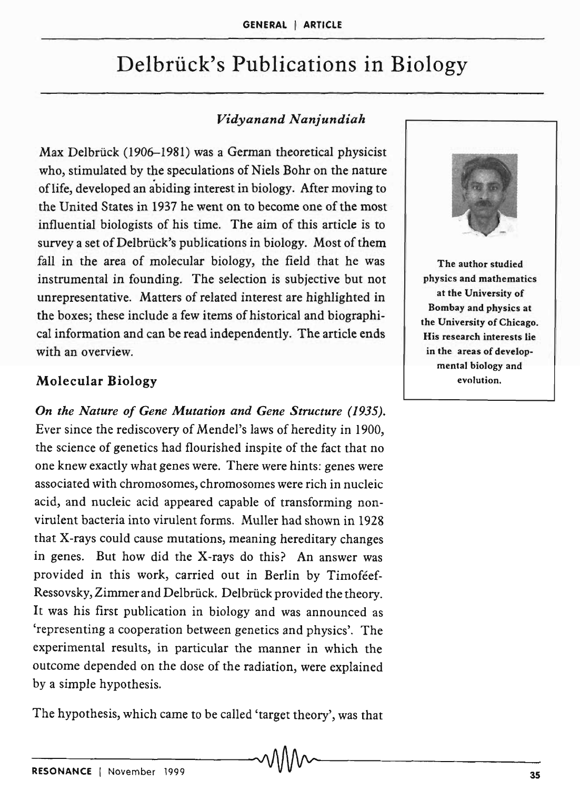# Delbriick's Publications in Biology

### *Vidyanand Nanjundiah*

Max Delbriick (1906-1981) was a German theoretical physicist who, stimulated by the speculations of Niels Bohr on the nature of life, developed an abiding interest in biology. After moving to the United States in 1937 he went on to become one of the most influential biologists of his time. The aim of this article is to survey a set of Delbrück's publications in biology. Most of them fall in the area of molecular biology, the field that he was instrumental in founding. The selection is subjective but not unrepresentative. Matters of related interest are highlighted in the boxes; these include a few items of historical and biographical information and can be read independently. The article ends with an overview.

## Molecular Biology

On *the Nature of Gene Mutation and Gene Structure (1935).*  Ever since the rediscovery of Mendel's laws of heredity in 1900, the science of genetics had flourished inspite of the fact that no one knew exactly what genes were. There were hints: genes were associated with chromosomes, chromosomes were rich in nucleic acid, and nucleic acid appeared capable of transforming nonvirulent bacteria into virulent forms. Muller had shown in 1928 that X-rays could cause mutations, meaning hereditary changes in genes. But how did the X-rays do this? An answer was provided in this work, carried out in Berlin by Timoféef-Ressovsky, Zimmer and Delbrück. Delbrück provided the theory. It was his first publication in biology and was announced as 'representing a cooperation between genetics and physics'. The experimental results, in particular the manner in which the outcome depended on the dose of the radiation, were explained by a simple hypothesis.

The hypothesis, which came to be called 'target theory', was that

 $-$ 



The author studied physics and mathematics at the University of Bombay and physics at the University of Chicago. His research interests lie in the areas of developmental biology and evolution.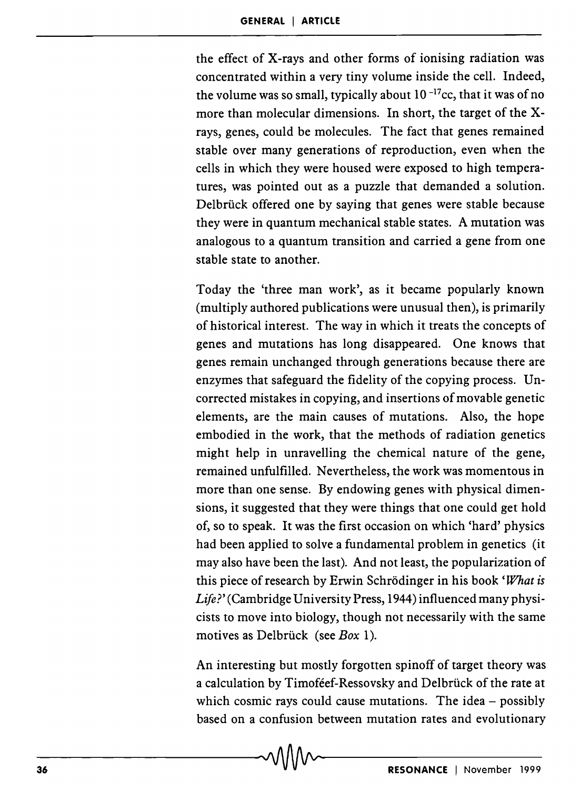the effect of X-rays and other forms of ionising radiation was concentrated within a very tiny volume inside the cell. Indeed, the volume was so small, typically about  $10^{-17}$ cc, that it was of no more than molecular dimensions. In short, the target of the Xrays, genes, could be molecules. The fact that genes remained stable over many generations of reproduction, even when the cells in which they were housed were exposed to high temperatures, was pointed out as a puzzle that demanded a solution. Delbriick offered one by saying that genes were stable because they were in quantum mechanical stable states. A mutation was analogous to a quantum transition and carried a gene from one stable state to another.

Today the 'three man work', as it became popularly known (multiply authored publications were unusual then), is primarily of historical interest. The way in which it treats the concepts of genes and mutations has long disappeared. One knows that genes remain unchanged through generations because there are enzymes that safeguard the fidelity of the copying process. Uncorrected mistakes in copying, and insertions of movable genetic elements, are the main causes of mutations. Also, the hope embodied in the work, that the methods of radiation genetics might help in unravelling the chemical nature of the gene, remained unfulfilled. Nevertheless, the work was momentous in more than one sense. By endowing genes with physical dimensions, it suggested that they were things that one could get hold of, so to speak. It was the first occasion on which 'hard' physics had been applied to solve a fundamental problem in genetics (it may also have been the last). And not least, the popularization of this piece of research by Erwin Schrodinger in his book' *What* is Life?' (Cambridge University Press, 1944) influenced many physicists to move into biology, though not necessarily with the same motives as Delbrück (see Box 1).

An interesting but mostly forgotten spinoff of target theory was a calculation by Timoféef-Ressovsky and Delbrück of the rate at which cosmic rays could cause mutations. The idea  $-$  possibly based on a confusion between mutation rates and evolutionary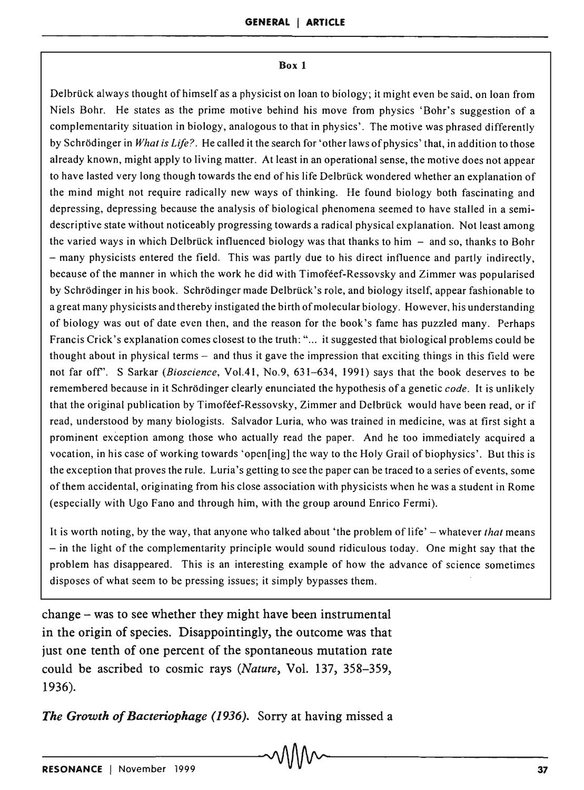Delbriick always thought of himself as a physicist on loan to biology; it might even be said, on loan from Niels Bohr. He states as the prime motive behind his move from physics 'Bohr's suggestion of a complementarity situation in biology, analogous to that in physics'. The motive was phrased differently by Schrödinger in *What is Life?*. He called it the search for 'other laws of physics' that, in addition to those already known, might apply to living matter. At least in an operational sense, the motive does not appear to have lasted very long though towards the end of his life Delbriick wondered whether an explanation of the mind might not require radically new ways of thinking. He found biology both fascinating and depressing, depressing because the analysis of biological phenomena seemed to have stalled in a semidescriptive state without noticeably progressing towards a radical physical explanation. Not least among the varied ways in which Delbriick influenced biology was that thanks to him - and so, thanks to Bohr - many physicists entered the field. This was partly due to his direct influence and partly indirectly, because of the manner in which the work he did with Timofeef-Ressovsky and Zimmer was popularised by Schrodinger in his book. Schrodinger made Delbriick's role, and biology itself, appear fashionable to a great many physicists and thereby instigated the birth of molecular biology. However, his understanding of biology was out of date even then, and the reason for the book's fame has puzzled many. Perhaps Francis Crick's explanation comes closest to the truth: " ... it suggested that biological problems could be thought about in physical terms - and thus it gave the impression that exciting things in this field were not far off". S Sarkar *(Bioscience, Vol.41, No.9, 631–634, 1991)* says that the book deserves to be remembered because in it Schrodinger clearly enunciated the hypothesis ofa genetic *code.* It is unlikely that the original publication by Timofeef-Ressovsky, Zimmer and Delbriick would have been read, or if read, understood by many biologists. Salvador Luria, who was trained in medicine, was at first sight a prominent exception among those who actually read the paper. And he too immediately acquired a vocation, in his case of working towards 'open[ing] the way to the Holy Grail of biophysics' . But this is the exception that proves the rule. Luria's getting to see the paper can be traced to a series of events, some of them accidental, originating from his close association with physicists when he was a student in Rome (especially with Ugo Fano and through him, with the group around Enrico Fermi).

It is worth noting, by the way, that anyone who talked about 'the problem of life' - whatever *that* means - in the light of the complementarity principle would sound ridiculous today. One might say that the problem has disappeared. This is an interesting example of how the advance of science sometimes disposes of what seem to be pressing issues; it simply bypasses them.

change - was to see whether they might have been instrumental in the origin of species. Disappointingly, the outcome was that just one tenth of one percent of the spontaneous mutation rate could be ascribed to cosmic rays *(Nature,* Vol. 137, 358-359, 1936).

*The Growth of Bacteriophage* (1936). Sorry at having missed a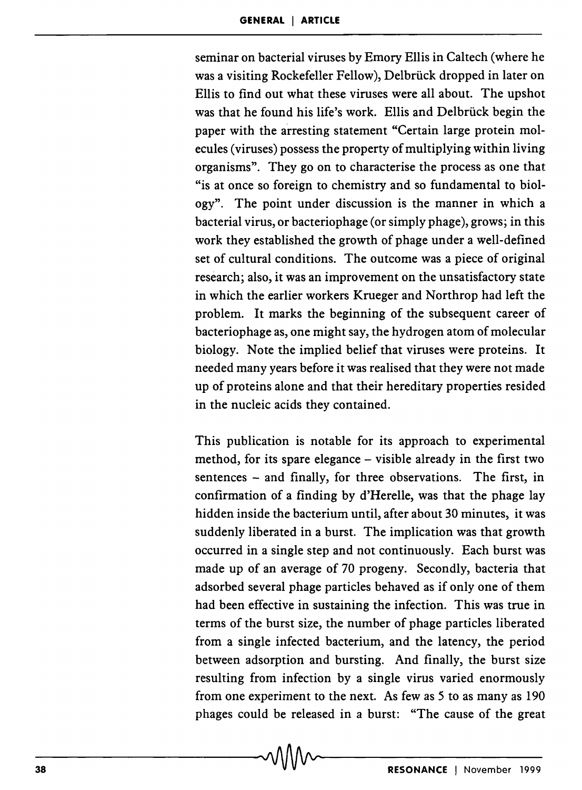seminar on bacterial viruses by Emory Ellis in Caltech (where he was a visiting Rockefeller Fellow), Delbriick dropped in later on Ellis to find out what these viruses were all about. The upshot was that he found his life's work. Ellis and Delbriick begin the paper with the arresting statement "Certain large protein molecules (viruses) possess the property of multiplying within living organisms". They go on to characterise the process as one that "is at once so foreign to chemistry and so fundamental to biology". The point under discussion is the manner in which a bacterial virus, or bacteriophage (or simply phage), grows; in this work they established the growth of phage under a well-defined set of cultural conditions. The outcome was a piece of original research; also, it was an improvement on the unsatisfactory state in which the earlier workers Krueger and Northrop had left the problem. It marks the beginning of the subsequent career of bacteriophage as, one might say, the hydrogen atom of molecular biology. Note the implied belief that viruses were proteins. It needed many years before it was realised that they were not made up of proteins alone and that their hereditary properties resided in the nucleic acids they contained.

This publication is notable for its approach to experimental method, for its spare elegance – visible already in the first two sentences - and finally, for three observations. The first, in confirmation of a finding by d'Herelle, was that the phage lay hidden inside the bacterium until, after about 30 minutes, it was suddenly liberated in a burst. The implication was that growth occurred in a single step and not continuously. Each burst was made up of an average of 70 progeny. Secondly, bacteria that adsorbed several phage particles behaved as if only one of them had been effective in sustaining the infection. This was true in terms of the burst size, the number of phage particles liberated from a single infected bacterium, and the latency, the period between adsorption and bursting. And finally, the burst size resulting from infection by a single virus varied enormously from one experiment to the next. As few as 5 to as many as 190 phages could be released in a burst: "The cause of the great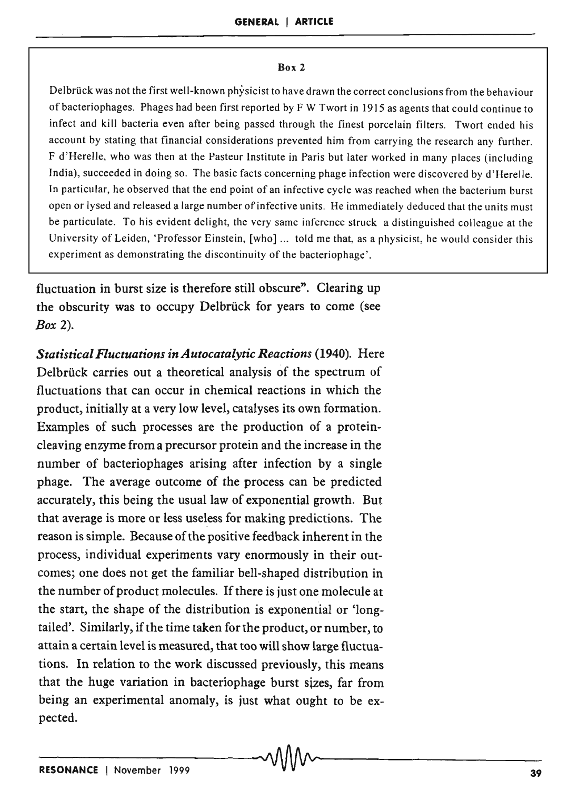Delbrück was not the first well-known physicist to have drawn the correct conclusions from the behaviour of bacteriophages. Phages had been first reported by F W Twort in 1915 as agents that could continue to infect and kill bacteria even after being passed through the finest porcelain filters. Twort ended his account by stating that financial considerations prevented him from carrying the research any further. F d'Herelle, who was then at the Pasteur Institute in Paris but later worked in many places (including India), succeeded in doing so. The basic facts concerning phage infection were discovered by d'Herelle. In particular, he observed that the end point of an infective cycle was reached when the bacterium burst open or lysed and released a large number of infective units. He immediately deduced that the units must be particulate. To his evident delight, the very same inference struck a distinguished colleague at the University of Leiden, 'Professor Einstein, [who] ... told me that, as a physicist, he would consider this experiment as demonstrating the discontinuity of the bacteriophage'.

fluctuation in burst size is therefore still obscure". Clearing up the obscurity was to occupy Delbriick for years to come (see *Box 2).* 

*Statistical Fluctuations in Autocatalytic Reactions* (1940). Here Delbriick carries out a theoretical analysis of the spectrum of fluctuations that can occur in chemical reactions in which the product, initially at a very low level, catalyses its own formation. Examples of such processes are the production of a proteincleaving enzyme from a precursor protein and the increase in the number of bacteriophages arising after infection by a single phage. The average outcome of the process can be predicted accurately, this being the usual law of exponential growth. But that average is more or less useless for making predictions. The reason is simple. Because of the positive feedback inherent in the process, individual experiments vary enormously in their outcomes; one does not get the familiar bell-shaped distribution in the number of product molecules. If there is just one molecule at the start, the shape of the distribution is exponential or 'longtailed'. Similarly, if the time taken for the product, or number, to attain a certain level is measured, that too will show large fluctuations. In relation to the work discussed previously, this means that the huge variation in bacteriophage burst sizes, far from being an experimental anomaly, is just what ought to be expected.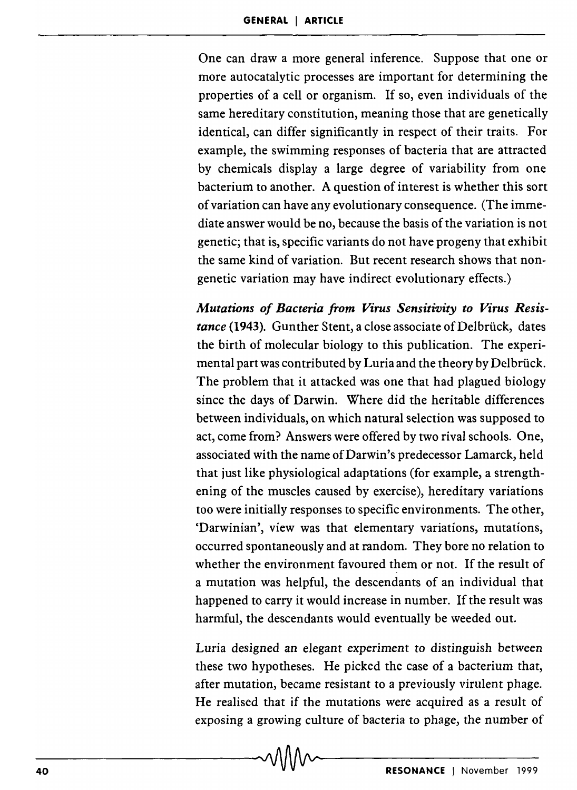One can draw a more general inference. Suppose that one or more autocatalytic processes are important for determining the properties of a cell or organism. If so, even individuals of the same hereditary constitution, meaning those that are genetically identical, can differ significantly in respect of their traits. For example, the swimming responses of bacteria that are attracted by chemicals display a large degree of variability from one bacterium to another. A question of interest is whether this sort of variation can have any evolutionary consequence. (The immediate answer would be no, because the basis of the variation is not genetic; that is, specific variants do not have progeny that exhibit the same kind of variation. But recent research shows that nongenetic variation may have indirect evolutionary effects.)

*Mutations of Bacteria from Virus Sensitivity to Virus Resistance* (1943). Gunther Stent, a close associate of Delbriick, dates the birth of molecular biology to this publication. The experimental part was contributed by Luria and the theory by Delbriick. The problem that it attacked was one that had plagued biology since the days of Darwin. Where did the heritable differences between individuals, on which natural selection was supposed to act, come from? Answers were offered by two rival schools. One, associated with the name of Darwin's predecessor Lamarck, held that just like physiological adaptations (for example, a strengthening of the muscles caused by exercise), hereditary variations too were initially responses to specific environments. The other, 'Darwinian', view was that elementary variations, mutations, occurred spontaneously and at random. They bore no relation to whether the environment favoured them or not. If the result of a mutation was helpful, the descendants of an individual that happened to carry it would increase in number. If the result was harmful, the descendants would eventually be weeded out.

Luria designed an elegant experiment to distinguish between these two hypotheses. He picked the case of a bacterium that, after mutation, became resistant to a previously virulent phage. He realised that if the mutations were acquired as a result of exposing a growing culture of bacteria to phage, the number of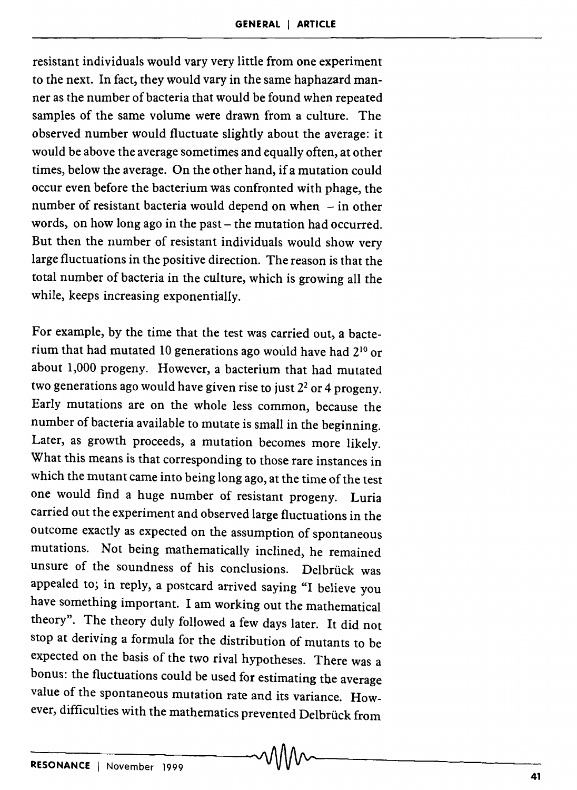resistant individuals would vary very little from one experiment to the next. In fact, they would vary in the same haphazard manner as the number of bacteria that would be found when repeated samples of the same volume were drawn from a culture. The observed number would fluctuate slightly about the average: it would be above the average sometimes and equally often, at other times, below the average. On the other hand, if a mutation could occur even before the bacterium was confronted with phage, the number of resistant bacteria would depend on when  $-$  in other words, on how long ago in the past – the mutation had occurred. But then the number of resistant individuals would show very large fluctuations in the positive direction. The reason is that the total number of bacteria in the culture, which is growing all the while, keeps increasing exponentially.

For example, by the time that the test was carried out, a bacterium that had mutated 10 generations ago would have had 210 or about 1,000 progeny. However, a bacterium that had mutated two generations ago would have given rise to just  $2^2$  or 4 progeny. Early mutations are on the whole less common, because the number of bacteria available to mutate is small in the beginning. Later, as growth proceeds, a mutation becomes more likely. What this means is that corresponding to those rare instances in which the mutant came into being long ago, at the time of the test one would find a huge number of resistant progeny. Luria carried out the experiment and observed large fluctuations in the outcome exactly as expected on the assumption of spontaneous mutations. Not being mathematically inclined, he remained unsure of the soundness of his conclusions. Delbriick was appealed to; in reply, a postcard arrived saying "I believe you have something important. I am working out the mathematical theory". The theory duly followed a few days later. It did not stop at deriving a formula for the distribution of mutants to be expected on the basis of the two rival hypotheses. There was a bonus: the fluctuations could be used for estimating the average value of the spontaneous mutation rate and its variance. However, difficulties with the mathematics prevented Delbriick from

 $\sim$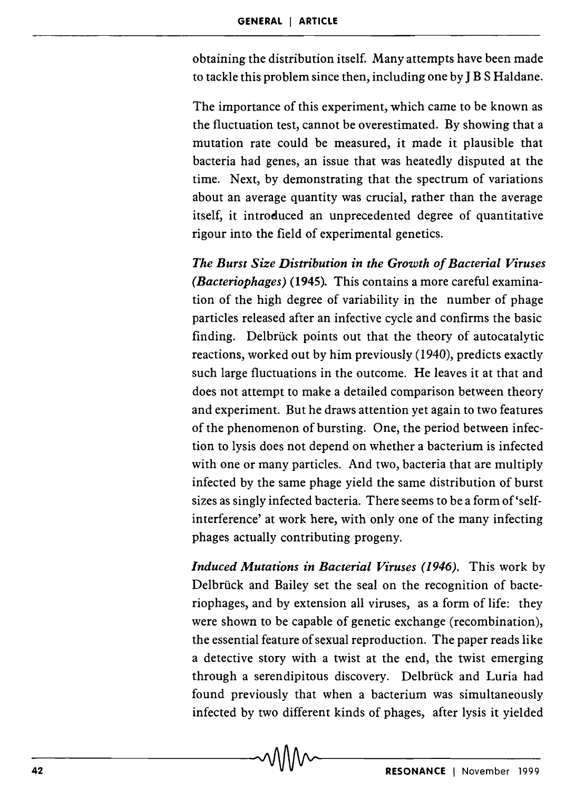obtaining the distribution itself. Many attempts have been made to tackle this problem since then, including one by J B S Haldane.

The importance of this experiment, which came to be known as the fluctuation test, cannot be overestimated. By showing that a mutation rate could be measured, it made it plausible that bacteria had genes, an issue that was heatedly disputed at the time. Next, by demonstrating that the spectrum of variations about an average quantity was crucial, rather than the average itself, it introduced an unprecedented degree of quantitative rigour into the field of experimental genetics.

*The Burst Size Distribution in the Growth of Bacterial Viruses (Bacteriophages)* (1945). This contains a more careful examination of the high degree of variability in the number of phage particles released after an infective cycle and confirms the basic finding. Delbriick points out that the theory of autocatalytic reactions, worked out by him previously (1940), predicts exactly such large fluctuations in the outcome. He leaves it at that and does not attempt to make a detailed comparison between theory and experiment. But he draws attention yet again to two features of the phenomenon of bursting. One, the period between infection to lysis does not depend on whether a bacterium is infected with one or many particles. And two, bacteria that are multiply infected by the same phage yield the same distribution of burst sizes as singly infected bacteria. There seems to be a form of 'selfinterference' at work here, with only one of the many infecting phages actually contributing progeny.

*Induced Mutations in Bacterial Viruses* (1946). This work by Delbrück and Bailey set the seal on the recognition of bacteriophages, and by extension all viruses, as a form of life: they were shown to be capable of genetic exchange (recombination), the essential feature of sexual reproduction. The paper reads like a detective story with a twist at the end, the twist emerging through a serendipitous discovery. Delbrück and Luria had found previously that when a bacterium was simultaneously infected by two different kinds of phages, after lysis it yielded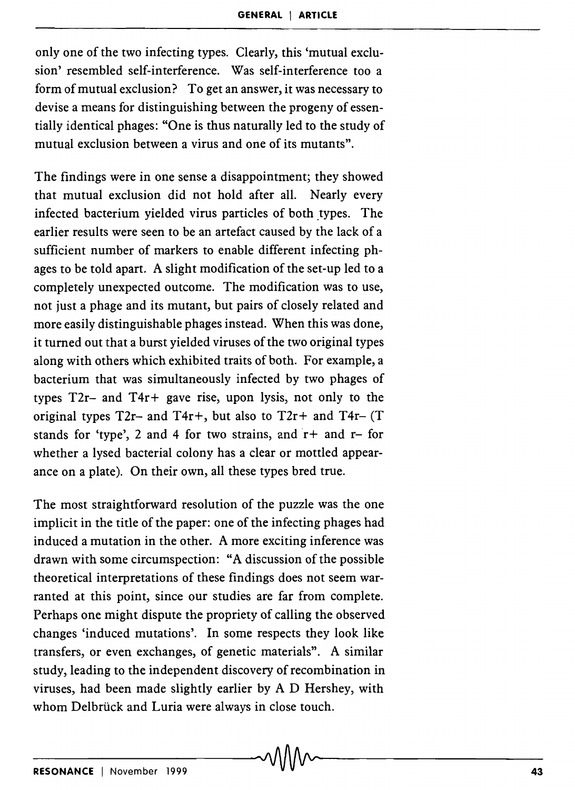only one of the two infecting types. Clearly, this 'mutual exclusion' resembled self-interference. Was self-interference too a form of mutual exclusion? To get an answer, it was necessary to devise a means for distinguishing between the progeny of essentially identical phages: "One is thus naturally led to the study of mutual exclusion between a virus and one of its mutants".

The findings were in one sense a disappointment; they showed that mutual exclusion did not hold after all. Nearly every infected bacterium yielded virus particles of both types. The earlier results were seen to be an artefact caused by the lack of a sufficient number of markers to enable different infecting phages to be told apart. A slight modification of the set-up led to a completely unexpected outcome. The modification was to use, not just a phage and its mutant, but pairs of closely related and more easily distinguishable phages instead. When this was done, it turned out that a burst yielded viruses of the two original types along with others which exhibited traits of both. For example, a bacterium that was simultaneously infected by two phages of types T2r- and T4r+ gave rise, upon lysis, not only to the original types  $T2r$ - and  $T4r$ , but also to  $T2r$ + and  $T4r$ - (T stands for 'type', 2 and 4 for two strains, and  $r+$  and  $r-$  for whether a lysed bacterial colony has a clear or mottled appearance on a plate). On their own, all these types bred true.

The most straightforward resolution of the puzzle was the one implicit in the title of the paper: one of the infecting phages had induced a mutation in the other. A more exciting inference was drawn with some circumspection: "A discussion of the possible theoretical interpretations of these findings does not seem warranted at this point, since our studies are far from complete. Perhaps one might dispute the propriety of calling the observed changes 'induced mutations'. In some respects they look like transfers, or even exchanges, of genetic materials". A similar study, leading to the independent discovery of recombination in viruses, had been made slightly earlier by A D Hershey, with whom Delbrück and Luria were always in close touch.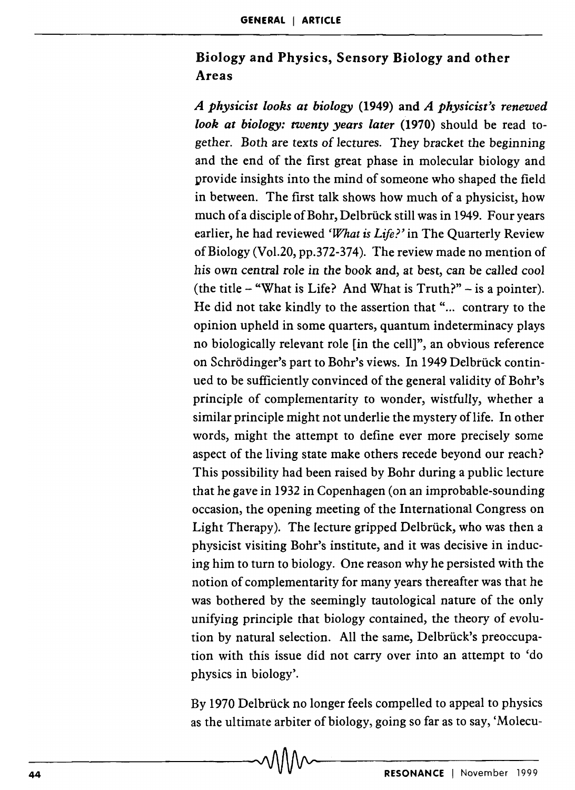## Biology and Physics, Sensory Biology and other Areas

*A physicist looks at biology* (1949) and *A physicist's renewed look at biology: twenty years later* (1970) should be read together. Both are texts of lectures. They bracket the beginning and the end of the first great phase in molecular biology and provide insights into the mind of someone who shaped the field in between. The first talk shows how much of a physicist, how much of a disciple of Bohr, Delbriick still was in 1949. Four years earlier, he had reviewed *'What is Life?'* in The Quarterly Review of Biology (Vol.20, pp.372-374). The review made no mention of his own central role in the book and, at best, can be called cool (the title - "What is Life? And What is Truth?" - is a pointer). He did not take kindly to the assertion that "... contrary to the opinion upheld in some quarters, quantum indeterminacy plays no biologically relevant role [in the cell]", an obvious reference on Schrodinger's part to Bohr's views. In 1949 Delbriick continued to be sufficiently convinced of the general validity of Bohr's principle of complementarity to wonder, wistfully, whether a similar principle might not underlie the mystery of life. In other words, might the attempt to define ever more precisely some aspect of the living state make others recede beyond our reach? This possibility had been raised by Bohr during a public lecture that he gave in 1932 in Copenhagen (on an improbable-sounding occasion, the opening meeting of the International Congress on Light Therapy). The lecture gripped Delbriick, who was then a physicist visiting Bohr's institute, and it was decisive in inducing him to turn to biology. One reason why he persisted with the notion of complementarity for many years thereafter was that he was bothered by the seemingly tautological nature of the only unifying principle that biology contained, the theory of evolution by natural selection. All the same, Delbriick's preoccupation with this issue did not carry over into an attempt to 'do physics in biology'.

By 1970 Delbriick no longer feels compelled to appeal to physics as the ultimate arbiter of biology, going so far as to say, 'Molecu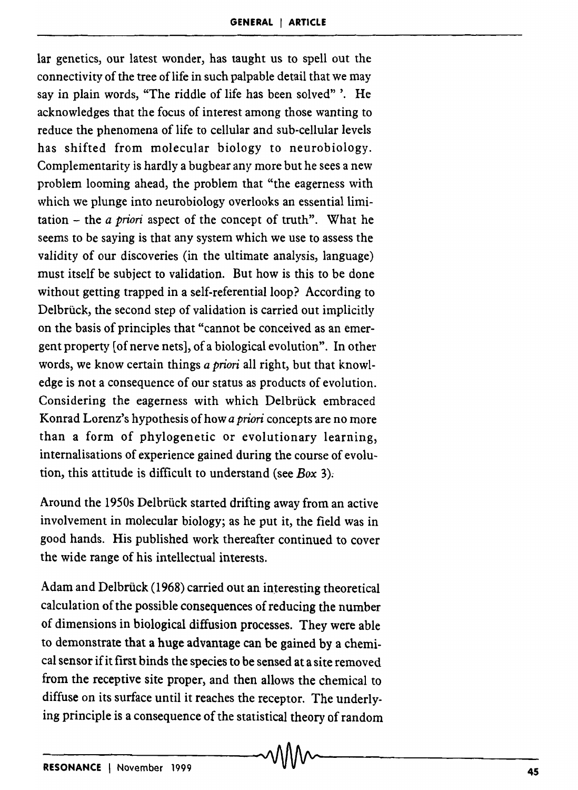lar genetics, our latest wonder, has taught us to spell out the connectivity of the tree of life in such palpable detail that we may say in plain words, "The riddle of life has been solved" '. He acknowledges that the focus of interest among those wanting to reduce the phenomena of life to cellular and sub-cellular levels has shifted from molecular biology to neurobiology. Complementarity is hardly a bugbear any more but he sees a new problem looming ahead, the problem that "the eagerness with which we plunge into neurobiology overlooks an essential limitation - the *a priori* aspect of the concept of truth". What he seems to be saying is that any system which we use to assess the validity of our discoveries (in the ultimate analysis, language) must itself be subject to validation. But how is this to be done without getting trapped in a self-referential loop? According to Delbrück, the second step of validation is carried out implicitly on the basis of principles that "cannot be conceived as an emergent property [of nerve nets], of a biological evolution". In other words, we know certain things *a priori* all right, but that knowledge is not a consequence of our status as products of evolution. Considering the eagerness with which Delbrück embraced Konrad Lorenz's hypothesis of how *a priori* concepts are no more than a form of phylogenetic or evolutionary learning, internalisations of experience gained during the course of evolu~ tion, this attitude is difficult to understand (see *Box 3);* 

Around the 1950s Delbrück started drifting away from an active involvement in molecular biology; as he put it, the field was in good hands. His published work thereafter continued to cover the wide range of his intellectual interests.

Adam and Delbruck (1968) carried out an interesting theoretical calculation of the possible consequences of reducing the number of dimensions in biological diffusion processes. They were able to demonstrate that a huge advantage can be gained by a chemical sensor if it first binds the species to be sensed at a site removed from the receptive site proper, and then allows the chemical to diffuse on its surface until it reaches the receptor. The underlying principle is a consequence of the statistical theory of random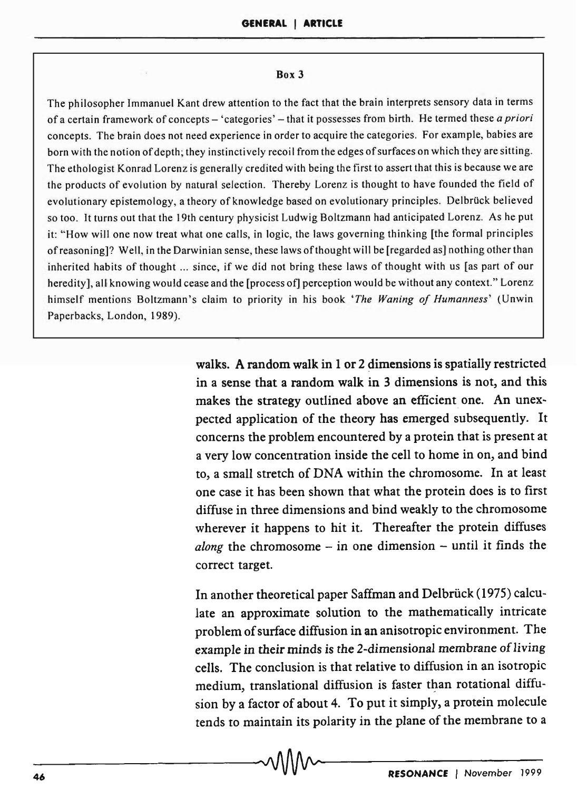The philosopher Immanuel Kant drew attention to the fact that the brain interprets sensory data in terms of a certain framework of concepts - 'categories' - that it possesses from birth. He termed these *a priori*  concepts. The brain does not need experience in order to acquire the categories. For example, babies are born with the notion of depth; they instinctively recoil from the edges of surfaces on which they are sitting. The ethologist Konrad Lorenz is generally credited with being the first to assert that this is because we are the products of evolution by natural selection. Thereby Lorenz is thought to have founded the field of evolutionary epistemology, a theory of knowledge based on evolutionary principles. Delbrück believed so too. It turns out that the 19th century physicist Ludwig Boltzmann had anticipated Lorenz. As he put it: "How will one now treat what one calls, in logic, the laws governing thinking [the formal principles of reasoning]? Well, in the Darwinian sense, these laws of thought will be [regarded as] nothing other than inherited habits of thought ... since, if we did not bring these laws of thought with us [as part of our heredity], all knowing would cease and the [process of] perception would be without any context." Lorenz himself mentions Boltzmann's claim to priority in his book *'The Waning of Humanness'* (Unwin Paperbacks, London, 1989).

> walks. A random walk in 1 or 2 dimensions is spatially restricted in a sense that a random walk in 3 dimensions is not, and this makes the strategy outlined above an efficient one. An unexpected application of the theory has emerged subsequently. It concerns the problem encountered by a protein that is present at a very low concentration inside the cell to home in on, and bind to, a small stretch of DNA within the chromosome. In at least one case it has been shown that what the protein does is to first diffuse in three dimensions and bind weakly to the chromosome wherever it happens to hit it. Thereafter the protein diffuses *along* the chromosome - in one dimension - until it finds the correct target.

> In another theoretical paper Saffman and Delbriick (1975) calculate an approximate solution to the mathematically intricate problem of surface diffusion in an anisotropic environment. The example in their minds *is* the 2-dimensional membrane of living cells. The conclusion is that relative to diffusion in an isotropic medium, translational diffusion is faster than rotational diffusion by a factor of about 4. To put it simply, a protein molecule tends to maintain its polarity in the plane of the membrane to a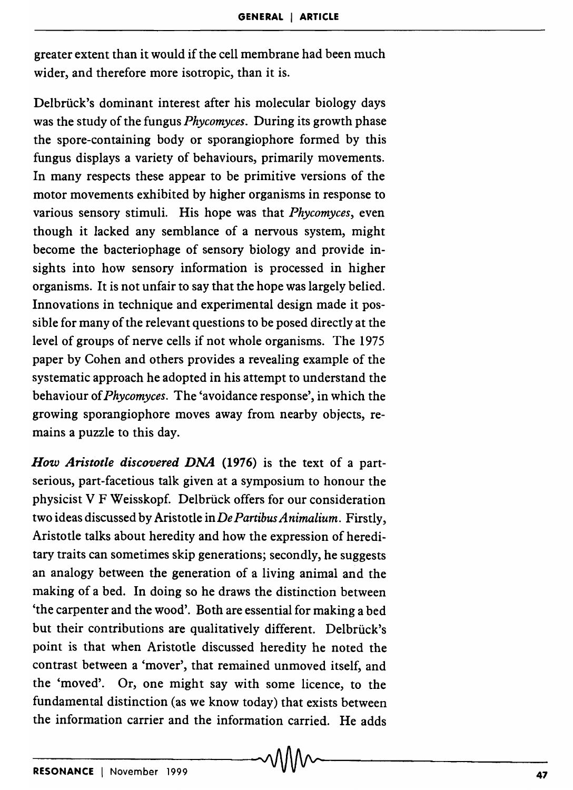greater extent than it would if the cell membrane had been much wider, and therefore more isotropic, than it is.

Delbrück's dominant interest after his molecular biology days was the study of the fungus *Phycomyces.* During its growth phase the spore-containing body or sporangiophore formed by this fungus displays a variety of behaviours, primarily movements. In many respects these appear to be primitive versions of the motor movements exhibited by higher organisms in response to various sensory stimuli. His hope was that *Phycomyces,* even though it lacked any semblance of a nervous system, might become the bacteriophage of sensory biology and provide insights into how sensory information is processed in higher organisms. It is not unfair to say that the hope was largely belied. Innovations in technique and experimental design made it possible for many of the relevant questions to be posed directly at the level of groups of nerve cells if not whole organisms. The 1975 paper by Cohen and others provides a revealing example of the systematic approach he adopted in his attempt to understand the behaviour of *Phycomyces.* The 'avoidance response', in which the growing sporangiophore moves away from nearby objects, remains a puzzle to this day.

*How Aristotle discovered DNA* (1976) is the text of a partserious, part-facetious talk given at a symposium to honour the physicist V F Weisskopf. Delbriick offers for our consideration two ideas discussed by Aristotle *inDePartibusAnimalium.* Firstly, Aristotle talks about heredity and how the expression of hereditary traits can sometimes skip generations; secondly, he suggests an analogy between the generation of a living animal and the making of a bed. In doing so he draws the distinction between 'the carpenter and the wood'. Both are essential for making a bed but their contributions are qualitatively different. Delbriick's point is that when Aristotle discussed heredity he noted the contrast between a 'mover', that remained unmoved itself, and the 'moved'. Or, one might say with some licence, to the fundamental distinction (as we know today) that exists between the information carrier and the information carried. He adds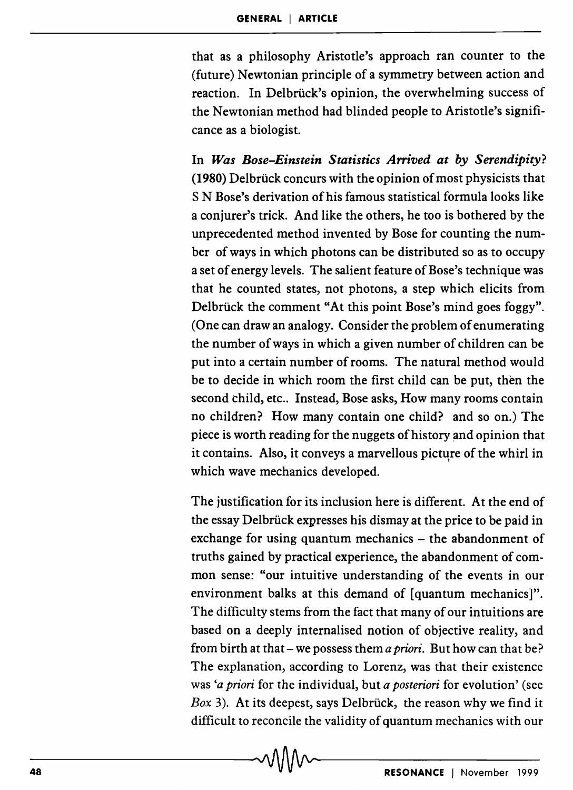that as a philosophy Aristotle's approach ran counter to the (future) Newtonian principle of a symmetry between action and reaction. In Delbrück's opinion, the overwhelming success of the Newtonian method had blinded people to Aristotle's significance as a biologist.

In *Was Bose-Einstein Statistics Arrived at by Serendipity?*  (1980) Delbruck concurs with the opinion of most physicists that S N Bose's derivation of his famous statistical formula looks like a conjurer's trick. And like the others, he too is bothered by the unprecedented method invented by Bose for counting the number of ways in which photons can be distributed so as to occupy a set of energy levels. The salient feature of Bose's technique was that he counted states, not photons, a step which elicits from Delbrück the comment "At this point Bose's mind goes foggy". (One can draw an analogy. Consider the problem of enumerating the number of ways in which a given number of children can be put into a certain number of rooms. The natural method would be to decide in which room the first child can be put, then the second child, etc.. Instead, Bose asks, How many rooms contain no children? How many contain one child? and so on.) The piece is worth reading for the nuggets of history and opinion that it contains. Also, it conveys a marvellous picture of the whirl in which wave mechanics developed.

The justification for its inclusion here is different. At the end of the essay Delbriick expresses his dismay at the price to be paid in exchange for using quantum mechanics  $-$  the abandonment of truths gained by practical experience, the abandonment of common sense: "our intuitive understanding of the events in our environment balks at this demand of [quantum mechanics]". The difficulty stems from the fact that many of our intuitions are based on a deeply internalised notion of objective reality, and from birth at that – we possess them *a priori*. But how can that be? The explanation, according to Lorenz, was that their existence was *'a priori* for the individual, but *a posteriori* for evolution' (see *Box 3*). At its deepest, says Delbrück, the reason why we find it difficult to reconcile the validity of quantum mechanics with our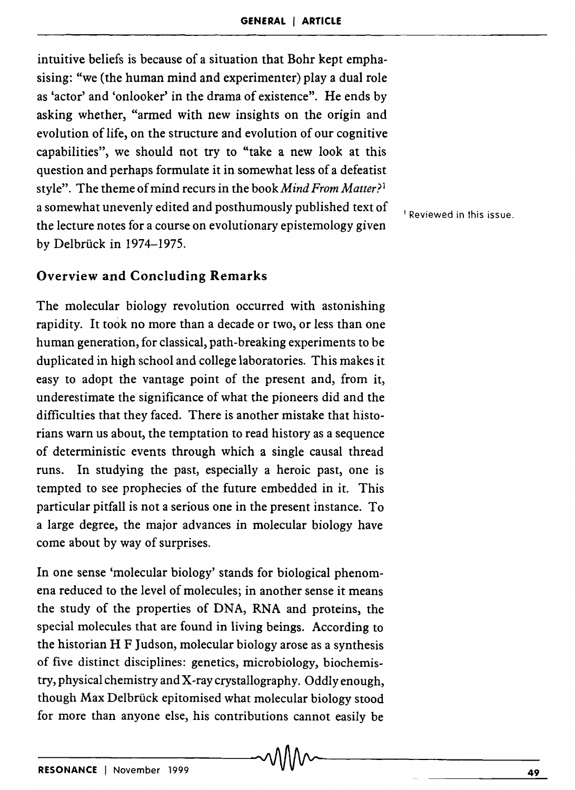intuitive beliefs is because of a situation that Bohr kept emphasising: "we (the human mind and experimenter) play a dual role as 'actor' and 'onlooker' in the drama of existence". He ends by asking whether, "armed with new insights on the origin and evolution of life, on the structure and evolution of our cognitive capabilities", we should not try to "take a new look at this question and perhaps formulate it in somewhat less of a defeatist style". The theme of mind recurs in the book *Mind From Matter?}*  a somewhat unevenly edited and posthumously published text of the lecture notes for a course on evolutionary epistemology given by Delbriick in 1974-1975.

Overview and Concluding Remarks

The molecular biology revolution occurred with astonishing rapidity. It took no more than a decade or two, or less than one human generation, for classical, path-breaking experiments to be duplicated in high school and college laboratories. This makes it easy to adopt the vantage point of the present and, from it, underestimate the significance of what the pioneers did and the difficulties that they faced. There is another mistake that historians warn us about, the temptation to read history as a sequence of deterministic events through which a single causal thread runs. In studying the past, especially a heroic past, one is tempted to see prophecies of the future embedded in it. This particular pitfall is not a serious one in the present instance. To a large degree, the major advances in molecular biology have come about by way of surprises.

In one sense 'molecular biology' stands for biological phenomena reduced to the level of molecules; in another sense it means the study of the properties of DNA, RNA and proteins, the special molecules that are found in living beings. According to the historian H F Judson, molecular biology arose as a synthesis of five distinct disciplines: genetics, microbiology, biochemistry, physical chemistry and X-ray crystallography. Oddly enough, though Max Delbriick epitomised what molecular biology stood for more than anyone else, his contributions cannot easily be 1 Reviewed in this issue.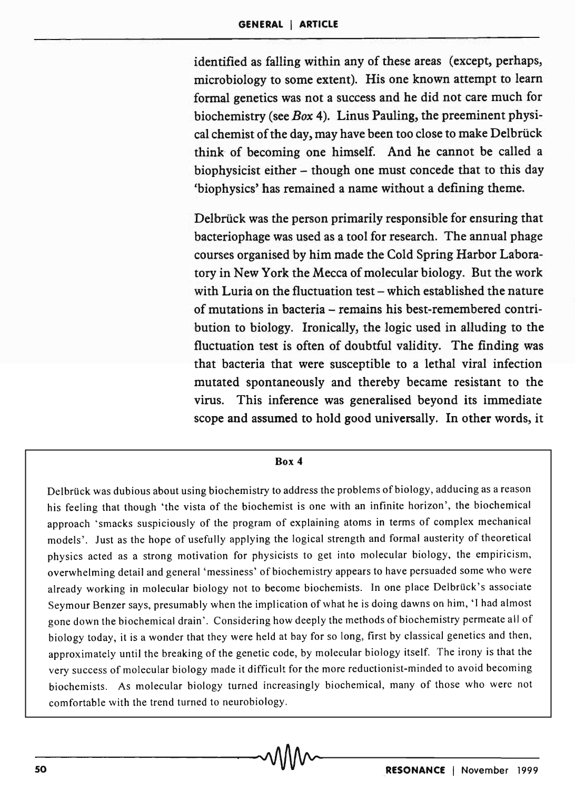identified as falling within any of these areas (except, perhaps, microbiology to some extent). His one known attempt to learn formal genetics was not a success and he did not care much for biochemistry (see *Box* 4). Linus Pauling, the preeminent physical chemist of the day, may have been too close to make Delbrück think of becoming one himself. And he cannot be called a biophysicist either - though one must concede that to this day 'biophysics' has remained a name without a defining theme.

Delbrück was the person primarily responsible for ensuring that bacteriophage was used as a tool for research. The annual phage courses organised by him made the Cold Spring Harbor Laboratory in New York the Mecca of molecular biology. But the work with Luria on the fluctuation test – which established the nature of mutations in bacteria - remains his best-remembered contribution to biology. Ironically, the logic used in alluding to the fluctuation test is often of doubtful validity. The finding was that bacteria that were susceptible to a lethal viral infection mutated spontaneously and thereby became resistant to the virus. This inference was generalised beyond its immediate scope and assumed to hold good universally. In other words, it

### Box 4

Delbrück was dubious about using biochemistry to address the problems of biology, adducing as a reason his feeling that though 'the vista of the biochemist is one with an infinite horizon', the biochemical approach 'smacks suspiciously of the program of explaining atoms in terms of complex mechanical models'. Just as the hope of usefully applying the logical strength and formal austerity of theoretical physics acted as a strong motivation for physicists to get into molecular biology, the empiricism, overwhelming detail and general 'messiness' of biochemistry appears to have persuaded some who were already working in molecular biology not to become biochemists. In one place Delbrück's associate Seymour Benzer says, presumably when the implication of what he is doing dawns on him, 'I had almost gone down the biochemical drain'. Considering how deeply the methods of biochemistry permeate all of biology today, it is a wonder that they were held at bay for so long, first by classical genetics and then, approximately until the breaking of the genetic code, by molecular biology itself. The irony is that the very success of molecular biology made it difficult for the more reductionist-minded to avoid becoming biochemists. As molecular biology turned increasingly biochemical, many of those who were not comfortable with the trend turned to neurobiology.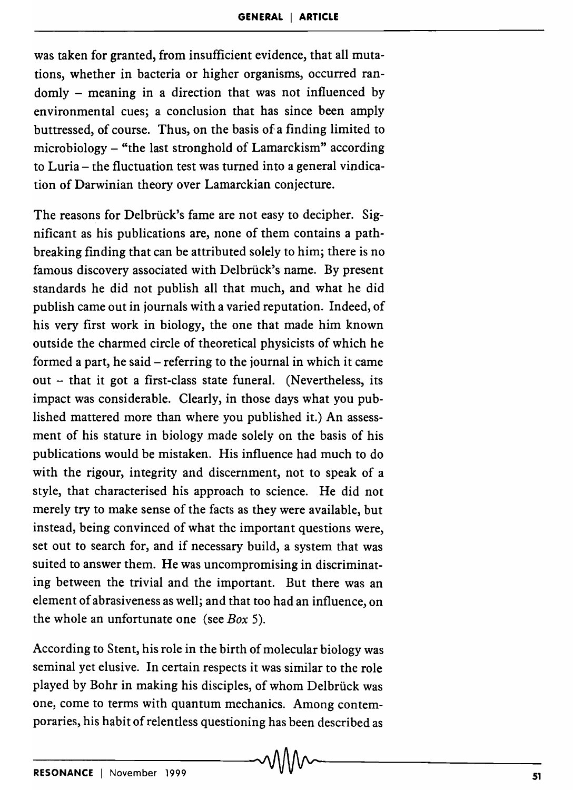was taken for granted, from insufficient evidence, that all mutations, whether in bacteria or higher organisms, occurred randomly - meaning in a direction that was not influenced by environmental cues; a conclusion that has since been amply buttressed, of course. Thus, on the basis of a finding limited to microbiology - "the last stronghold of Lamarckism" according to Luria – the fluctuation test was turned into a general vindication of Darwinian theory over Lamarckian conjecture.

The reasons for Delbrück's fame are not easy to decipher. Significant as his publications are, none of them contains a pathbreaking finding that can be attributed solely to him; there is no famous discovery associated with Delbrück's name. By present standards he did not publish all that much, and what he did publish came out in journals with a varied reputation. Indeed, of his very first work in biology, the one that made him known outside the charmed circle of theoretical physicists of which he formed a part, he said – referring to the journal in which it came out – that it got a first-class state funeral. (Nevertheless, its impact was considerable. Clearly, in those days what you published mattered more than where you published it.) An assessment of his stature in biology made solely on the basis of his publications would be mistaken. His influence had much to do with the rigour, integrity and discernment, not to speak of a style, that characterised his approach to science. He did not merely try to make sense of the facts as they were available, but instead, being convinced of what the important questions were, set out to search for, and if necessary build, a system that was suited to answer them. He was uncompromising in discriminating between the trivial and the important. But there was an element of abrasiveness as well; and that too had an influence, on the whole an unfortunate one (see *Box 5).* 

According to Stent, his role in the birth of molecular biology was seminal yet elusive. In certain respects it was similar to the role played by Bohr in making his disciples, of whom Delbruck was one, come to terms with quantum mechanics. Among contemporaries, his habit of relentless questioning has been described as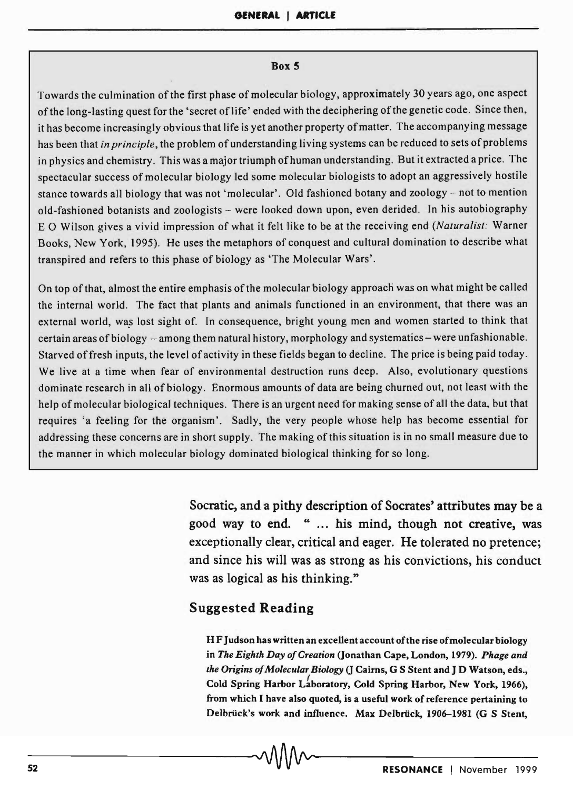Towards the culmination of the first phase of molecular biology, approximately 30 years ago, one aspect of the long-lasting quest for the 'secret of life' ended with the deciphering ofthe genetic code. Since then, it has become increasingly obvious that life is yet another property of matter. The accompanying message has been that *in principle,* the problem of understanding living systems can be reduced to sets of problems in physics and chemistry. This was a major triumph of human understanding. But it extracted a price. The spectacular success of molecular biology led some molecular biologists to adopt an aggressively hostile stance towards all biology that was not 'molecular'. Old fashioned botany and zoology - not to mention old-fashioned botanists and zoologists - were looked down upon, even derided. In his autobiography E 0 Wilson gives a vivid impression of what it felt like to be at the receiving end *(Naturalist:* Warner Books, New York, 1995). He uses the metaphors of conquest and cultural domination to describe what transpired and refers to this phase of biology as 'The Molecular Wars'.

On top of that, almost the entire emphasis of the molecular biology approach was on what might be called the internal world. The fact that plants and animals functioned in an environment, that there was an external world, was lost sight of. In consequence, bright young men and women started to think that certain areas of biology - among them natural history, morphology and systematics - were unfashionable. Starved offresh inputs, the level of activity in these fields began to decline. The price is being paid today. We live at a time when fear of environmental destruction runs deep. Also, evolutionary questions dominate research in all of biology. Enormous amounts of data are being churned out, not least with the help of molecular biological techniques. There is an urgent need for making sense of all the data, but that requires 'a feeling for the organism'. Sadly, the very people whose help has become essential for addressing these concerns are in short supply. The making of this situation is in no small measure due to the manner in which molecular biology dominated biological thinking for so long.

> Socratic, and a pithy description of Socrates' attributes may be a good way to end. " ... his mind, though not creative, was exceptionally clear, critical and eager. He tolerated no pretence; and since his will was as strong as his convictions, his conduct was as logical as his thinking."

### Suggested Reading

H F Judson has written an excellent account of the rise of molecular biology in *The Eighth Day of Creation* (Jonathan Cape, London, 1979). *Phage and the Origins of Molecular Biology* (J Cairns, G S Stent and J D Watson, eds., Cold Spring Harbor Laboratory, Cold Spring Harbor, New York, 1966), from which I have also quoted, is a useful work of reference pertaining to Delbriick's work and influence. Max Delbriick, 1906-1981 (G S Stent,